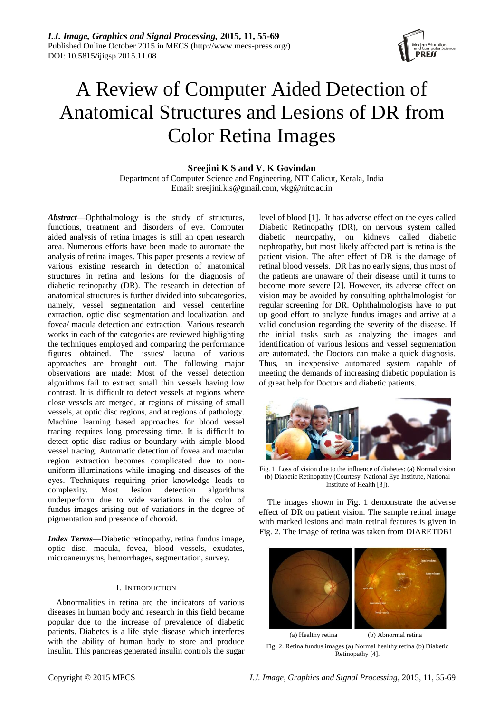

# A Review of Computer Aided Detection of Anatomical Structures and Lesions of DR from Color Retina Images

# **Sreejini K S and V. K Govindan**

Department of Computer Science and Engineering, NIT Calicut, Kerala, India Email: sreejini.k.s@gmail.com, vkg@nitc.ac.in

*Abstract*—Ophthalmology is the study of structures, functions, treatment and disorders of eye. Computer aided analysis of retina images is still an open research area. Numerous efforts have been made to automate the analysis of retina images. This paper presents a review of various existing research in detection of anatomical structures in retina and lesions for the diagnosis of diabetic retinopathy (DR). The research in detection of anatomical structures is further divided into subcategories, namely, vessel segmentation and vessel centerline extraction, optic disc segmentation and localization, and fovea/ macula detection and extraction. Various research works in each of the categories are reviewed highlighting the techniques employed and comparing the performance figures obtained. The issues/ lacuna of various approaches are brought out. The following major observations are made: Most of the vessel detection algorithms fail to extract small thin vessels having low contrast. It is difficult to detect vessels at regions where close vessels are merged, at regions of missing of small vessels, at optic disc regions, and at regions of pathology. Machine learning based approaches for blood vessel tracing requires long processing time. It is difficult to detect optic disc radius or boundary with simple blood vessel tracing. Automatic detection of fovea and macular region extraction becomes complicated due to nonuniform illuminations while imaging and diseases of the eyes. Techniques requiring prior knowledge leads to complexity. Most lesion detection algorithms underperform due to wide variations in the color of fundus images arising out of variations in the degree of pigmentation and presence of choroid.

*Index Terms***—**Diabetic retinopathy, retina fundus image, optic disc, macula, fovea, blood vessels, exudates, microaneurysms, hemorrhages, segmentation, survey.

# I. INTRODUCTION

Abnormalities in retina are the indicators of various diseases in human body and research in this field became popular due to the increase of prevalence of diabetic patients. Diabetes is a life style disease which interferes with the ability of human body to store and produce insulin. This pancreas generated insulin controls the sugar level of blood [1]. It has adverse effect on the eyes called Diabetic Retinopathy (DR), on nervous system called diabetic neuropathy, on kidneys called diabetic nephropathy, but most likely affected part is retina is the patient vision. The after effect of DR is the damage of retinal blood vessels. DR has no early signs, thus most of the patients are unaware of their disease until it turns to become more severe [2]. However, its adverse effect on vision may be avoided by consulting ophthalmologist for regular screening for DR. Ophthalmologists have to put up good effort to analyze fundus images and arrive at a valid conclusion regarding the severity of the disease. If the initial tasks such as analyzing the images and identification of various lesions and vessel segmentation are automated, the Doctors can make a quick diagnosis. Thus, an inexpensive automated system capable of meeting the demands of increasing diabetic population is of great help for Doctors and diabetic patients.



Fig. 1. Loss of vision due to the influence of diabetes: (a) Normal vision (b) Diabetic Retinopathy (Courtesy: National Eye Institute, National Institute of Health [3]).

The images shown in Fig. 1 demonstrate the adverse effect of DR on patient vision. The sample retinal image with marked lesions and main retinal features is given in Fig. 2. The image of retina was taken from DIARETDB1



Fig. 2. Retina fundus images (a) Normal healthy retina (b) Diabetic Retinopathy [4].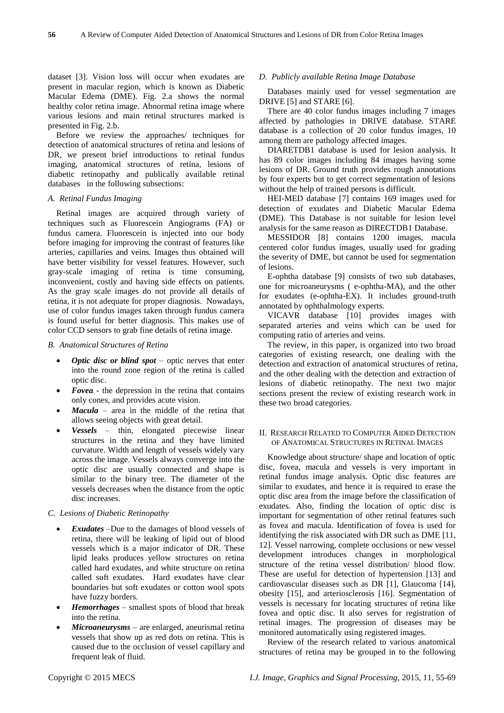dataset [3]. Vision loss will occur when exudates are present in macular region, which is known as Diabetic Macular Edema (DME). Fig. 2.a shows the normal healthy color retina image. Abnormal retina image where various lesions and main retinal structures marked is presented in Fig. 2.b.

Before we review the approaches/ techniques for detection of anatomical structures of retina and lesions of DR, we present brief introductions to retinal fundus imaging, anatomical structures of retina, lesions of diabetic retinopathy and publically available retinal databases in the following subsections:

#### *A. Retinal Fundus Imaging*

Retinal images are acquired through variety of techniques such as Fluorescein Angiograms (FA) or fundus camera. Fluorescein is injected into our body before imaging for improving the contrast of features like arteries, capillaries and veins. Images thus obtained will have better visibility for vessel features. However, such gray-scale imaging of retina is time consuming, inconvenient, costly and having side effects on patients. As the gray scale images do not provide all details of retina, it is not adequate for proper diagnosis. Nowadays, use of color fundus images taken through fundus camera is found useful for better diagnosis. This makes use of color CCD sensors to grab fine details of retina image.

#### *B. Anatomical Structures of Retina*

- *Optic disc or blind spot* optic nerves that enter into the round zone region of the retina is called optic disc.
- *Fovea* the depression in the retina that contains only cones, and provides acute vision.
- *Macula* area in the middle of the retina that allows seeing objects with great detail.
- *Vessels* thin, elongated piecewise linear structures in the retina and they have limited curvature. Width and length of vessels widely vary across the image. Vessels always converge into the optic disc are usually connected and shape is similar to the binary tree. The diameter of the vessels decreases when the distance from the optic disc increases.

## *C. Lesions of Diabetic Retinopathy*

- *Exudates* –Due to the damages of blood vessels of retina, there will be leaking of lipid out of blood vessels which is a major indicator of DR. These lipid leaks produces yellow structures on retina called hard exudates, and white structure on retina called soft exudates. Hard exudates have clear boundaries but soft exudates or cotton wool spots have fuzzy borders.
- *Hemorrhages* smallest spots of blood that break into the retina.
- *Microaneurysms* are enlarged, aneurismal retina vessels that show up as red dots on retina. This is caused due to the occlusion of vessel capillary and frequent leak of fluid.

## *D. Publicly available Retina Image Database*

Databases mainly used for vessel segmentation are DRIVE [5] and STARE [6].

There are 40 color fundus images including 7 images affected by pathologies in DRIVE database. STARE database is a collection of 20 color fundus images, 10 among them are pathology affected images.

DIARETDB1 database is used for lesion analysis. It has 89 color images including 84 images having some lesions of DR. Ground truth provides rough annotations by four experts but to get correct segmentation of lesions without the help of trained persons is difficult.

HEI-MED database [7] contains 169 images used for detection of exudates and Diabetic Macular Edema (DME). This Database is not suitable for lesion level analysis for the same reason as DIRECTDB1 Database.

MESSIDOR [8] contains 1200 images, macula centered color fundus images, usually used for grading the severity of DME, but cannot be used for segmentation of lesions.

E-ophtha database [9] consists of two sub databases, one for microaneurysms ( e-ophtha-MA), and the other for exudates (e-ophtha-EX). It includes ground-truth annotated by ophthalmology experts.

VICAVR database [10] provides images with separated arteries and veins which can be used for computing ratio of arteries and veins.

The review, in this paper, is organized into two broad categories of existing research, one dealing with the detection and extraction of anatomical structures of retina, and the other dealing with the detection and extraction of lesions of diabetic retinopathy. The next two major sections present the review of existing research work in these two broad categories.

### II. RESEARCH RELATED TO COMPUTER AIDED DETECTION OF ANATOMICAL STRUCTURES IN RETINAL IMAGES

Knowledge about structure/ shape and location of optic disc, fovea, macula and vessels is very important in retinal fundus image analysis. Optic disc features are similar to exudates, and hence it is required to erase the optic disc area from the image before the classification of exudates. Also, finding the location of optic disc is important for segmentation of other retinal features such as fovea and macula. Identification of fovea is used for identifying the risk associated with DR such as DME [11, 12]. Vessel narrowing, complete occlusions or new vessel development introduces changes in morphological structure of the retina vessel distribution/ blood flow. These are useful for detection of hypertension [13] and cardiovascular diseases such as DR [1], Glaucoma [14], obesity [15], and arteriosclerosis [16]. Segmentation of vessels is necessary for locating structures of retina like fovea and optic disc. It also serves for registration of retinal images. The progression of diseases may be monitored automatically using registered images.

Review of the research related to various anatomical structures of retina may be grouped in to the following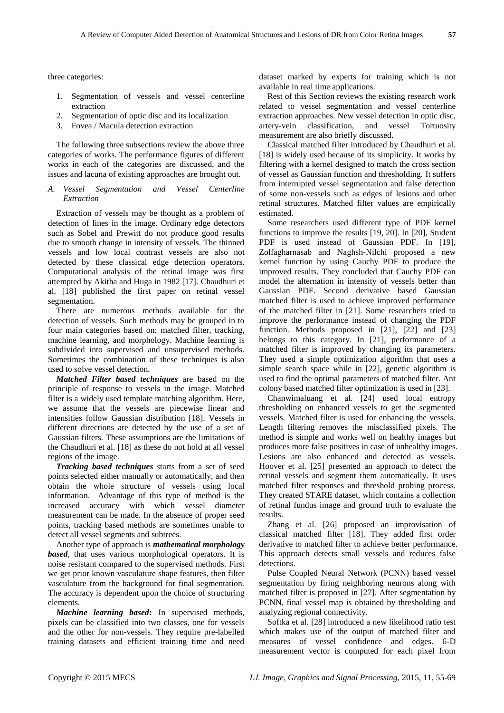three categories:

- 1. Segmentation of vessels and vessel centerline extraction
- 2. Segmentation of optic disc and its localization
- 3. Fovea / Macula detection extraction

The following three subsections review the above three categories of works. The performance figures of different works in each of the categories are discussed, and the issues and lacuna of existing approaches are brought out.

## *A. Vessel Segmentation and Vessel Centerline Extraction*

Extraction of vessels may be thought as a problem of detection of lines in the image. Ordinary edge detectors such as Sobel and Prewitt do not produce good results due to smooth change in intensity of vessels. The thinned vessels and low local contrast vessels are also not detected by these classical edge detection operators. Computational analysis of the retinal image was first attempted by Akitha and Huga in 1982 [17]. Chaudhuri et al. [18] published the first paper on retinal vessel segmentation.

There are numerous methods available for the detection of vessels. Such methods may be grouped in to four main categories based on: matched filter, tracking, machine learning, and morphology. Machine learning is subdivided into supervised and unsupervised methods. Sometimes the combination of these techniques is also used to solve vessel detection.

*Matched Filter based techniques* are based on the principle of response to vessels in the image. Matched filter is a widely used template matching algorithm. Here, we assume that the vessels are piecewise linear and intensities follow Gaussian distribution [18]. Vessels in different directions are detected by the use of a set of Gaussian filters. These assumptions are the limitations of the Chaudhuri et al. [18] as these do not hold at all vessel regions of the image.

*Tracking based techniques s*tarts from a set of seed points selected either manually or automatically, and then obtain the whole structure of vessels using local information. Advantage of this type of method is the increased accuracy with which vessel diameter measurement can be made. In the absence of proper seed points, tracking based methods are sometimes unable to detect all vessel segments and subtrees.

Another type of approach is *mathematical morphology based*, that uses various morphological operators. It is noise resistant compared to the supervised methods. First we get prior known vasculature shape features, then filter vasculature from the background for final segmentation. The accuracy is dependent upon the choice of structuring elements.

*Machine learning based***:** In supervised methods, pixels can be classified into two classes, one for vessels and the other for non-vessels. They require pre-labelled training datasets and efficient training time and need

dataset marked by experts for training which is not available in real time applications.

Rest of this Section reviews the existing research work related to vessel segmentation and vessel centerline extraction approaches. New vessel detection in optic disc, artery-vein classification, and vessel Tortuosity measurement are also briefly discussed.

Classical matched filter introduced by Chaudhuri et al. [18] is widely used because of its simplicity. It works by filtering with a kernel designed to match the cross section of vessel as Gaussian function and thresholding. It suffers from interrupted vessel segmentation and false detection of some non-vessels such as edges of lesions and other retinal structures. Matched filter values are empirically estimated.

Some researchers used different type of PDF kernel functions to improve the results [19, 20]. In [20], Student PDF is used instead of Gaussian PDF. In [19], Zolfagharnasab and Naghsh-Nilchi proposed a new kernel function by using Cauchy PDF to produce the improved results. They concluded that Cauchy PDF can model the alternation in intensity of vessels better than Gaussian PDF. Second derivative based Gaussian matched filter is used to achieve improved performance of the matched filter in [21]. Some researchers tried to improve the performance instead of changing the PDF function. Methods proposed in [21], [22] and [23] belongs to this category. In [21], performance of a matched filter is improved by changing its parameters. They used a simple optimization algorithm that uses a simple search space while in [22], genetic algorithm is used to find the optimal parameters of matched filter. Ant colony based matched filter optimization is used in [23].

Chanwimaluang et al. [24] used local entropy thresholding on enhanced vessels to get the segmented vessels. Matched filter is used for enhancing the vessels. Length filtering removes the misclassified pixels. The method is simple and works well on healthy images but produces more false positives in case of unhealthy images. Lesions are also enhanced and detected as vessels. Hoover et al. [25] presented an approach to detect the retinal vessels and segment them automatically. It uses matched filter responses and threshold probing process. They created STARE dataset, which contains a collection of retinal fundus image and ground truth to evaluate the results.

Zhang et al. [26] proposed an improvisation of classical matched filter [18]. They added first order derivative to matched filter to achieve better performance. This approach detects small vessels and reduces false detections.

Pulse Coupled Neural Network (PCNN) based vessel segmentation by firing neighboring neurons along with matched filter is proposed in [27]. After segmentation by PCNN, final vessel map is obtained by thresholding and analyzing regional connectivity.

Softka et al. [28] introduced a new likelihood ratio test which makes use of the output of matched filter and measures of vessel confidence and edges. 6-D measurement vector is computed for each pixel from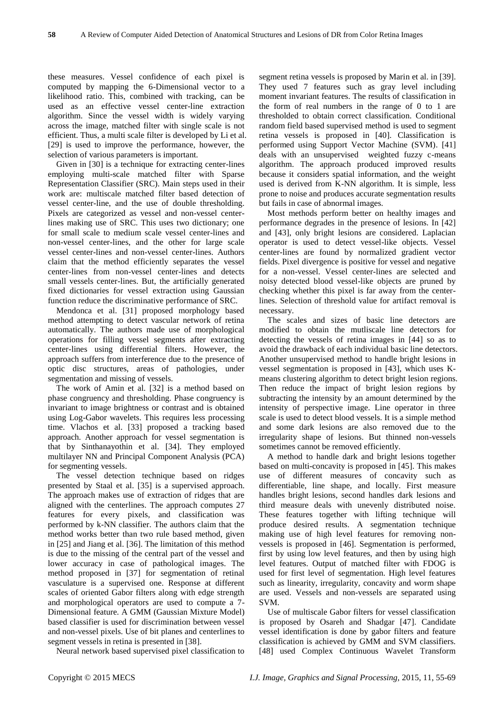these measures. Vessel confidence of each pixel is computed by mapping the 6-Dimensional vector to a likelihood ratio. This, combined with tracking, can be used as an effective vessel center-line extraction algorithm. Since the vessel width is widely varying across the image, matched filter with single scale is not efficient. Thus, a multi scale filter is developed by Li et al. [29] is used to improve the performance, however, the selection of various parameters is important.

Given in [30] is a technique for extracting center-lines employing multi-scale matched filter with Sparse Representation Classifier (SRC). Main steps used in their work are: multiscale matched filter based detection of vessel center-line, and the use of double thresholding. Pixels are categorized as vessel and non-vessel centerlines making use of SRC. This uses two dictionary; one for small scale to medium scale vessel center-lines and non-vessel center-lines, and the other for large scale vessel center-lines and non-vessel center-lines. Authors claim that the method efficiently separates the vessel center-lines from non-vessel center-lines and detects small vessels center-lines. But, the artificially generated fixed dictionaries for vessel extraction using Gaussian function reduce the discriminative performance of SRC.

Mendonca et al. [31] proposed morphology based method attempting to detect vascular network of retina automatically. The authors made use of morphological operations for filling vessel segments after extracting center-lines using differential filters. However, the approach suffers from interference due to the presence of optic disc structures, areas of pathologies, under segmentation and missing of vessels.

The work of Amin et al. [32] is a method based on phase congruency and thresholding. Phase congruency is invariant to image brightness or contrast and is obtained using Log-Gabor wavelets. This requires less processing time. Vlachos et al. [33] proposed a tracking based approach. Another approach for vessel segmentation is that by Sinthanayothin et al. [34]. They employed multilayer NN and Principal Component Analysis (PCA) for segmenting vessels.

The vessel detection technique based on ridges presented by Staal et al. [35] is a supervised approach. The approach makes use of extraction of ridges that are aligned with the centerlines. The approach computes 27 features for every pixels, and classification was performed by k-NN classifier. The authors claim that the method works better than two rule based method, given in [25] and Jiang et al. [36]. The limitation of this method is due to the missing of the central part of the vessel and lower accuracy in case of pathological images. The method proposed in [37] for segmentation of retinal vasculature is a supervised one. Response at different scales of oriented Gabor filters along with edge strength and morphological operators are used to compute a 7- Dimensional feature. A GMM (Gaussian Mixture Model) based classifier is used for discrimination between vessel and non-vessel pixels. Use of bit planes and centerlines to segment vessels in retina is presented in [38].

Neural network based supervised pixel classification to

segment retina vessels is proposed by Marin et al. in [39]. They used 7 features such as gray level including moment invariant features. The results of classification in the form of real numbers in the range of 0 to 1 are thresholded to obtain correct classification. Conditional random field based supervised method is used to segment retina vessels is proposed in [40]. Classification is performed using Support Vector Machine (SVM). [41] deals with an unsupervised weighted fuzzy c-means algorithm. The approach produced improved results because it considers spatial information, and the weight used is derived from K-NN algorithm. It is simple, less prone to noise and produces accurate segmentation results but fails in case of abnormal images.

Most methods perform better on healthy images and performance degrades in the presence of lesions. In [42] and [43], only bright lesions are considered. Laplacian operator is used to detect vessel-like objects. Vessel center-lines are found by normalized gradient vector fields. Pixel divergence is positive for vessel and negative for a non-vessel. Vessel center-lines are selected and noisy detected blood vessel-like objects are pruned by checking whether this pixel is far away from the centerlines. Selection of threshold value for artifact removal is necessary.

The scales and sizes of basic line detectors are modified to obtain the mutliscale line detectors for detecting the vessels of retina images in [44] so as to avoid the drawback of each individual basic line detectors. Another unsupervised method to handle bright lesions in vessel segmentation is proposed in [43], which uses Kmeans clustering algorithm to detect bright lesion regions. Then reduce the impact of bright lesion regions by subtracting the intensity by an amount determined by the intensity of perspective image. Line operator in three scale is used to detect blood vessels. It is a simple method and some dark lesions are also removed due to the irregularity shape of lesions. But thinned non-vessels sometimes cannot be removed efficiently.

A method to handle dark and bright lesions together based on multi-concavity is proposed in [45]. This makes use of different measures of concavity such as differentiable, line shape, and locally. First measure handles bright lesions, second handles dark lesions and third measure deals with unevenly distributed noise. These features together with lifting technique will produce desired results. A segmentation technique making use of high level features for removing nonvessels is proposed in [46]. Segmentation is performed, first by using low level features, and then by using high level features. Output of matched filter with FDOG is used for first level of segmentation. High level features such as linearity, irregularity, concavity and worm shape are used. Vessels and non-vessels are separated using SVM.

Use of multiscale Gabor filters for vessel classification is proposed by Osareh and Shadgar [47]. Candidate vessel identification is done by gabor filters and feature classification is achieved by GMM and SVM classifiers. [48] used Complex Continuous Wavelet Transform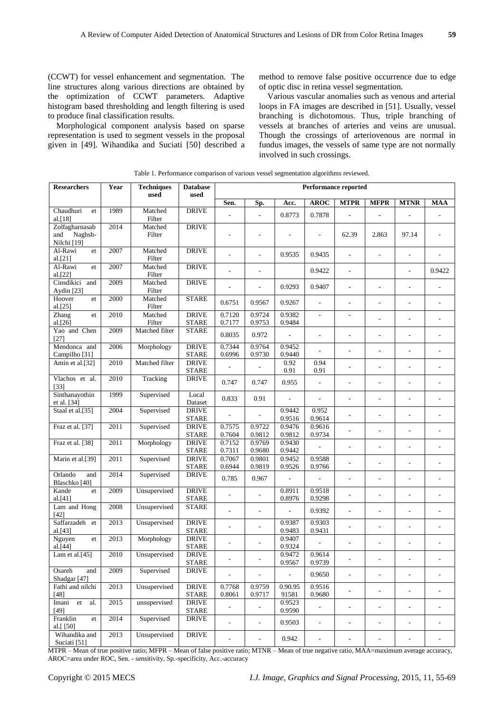(CCWT) for vessel enhancement and segmentation. The line structures along various directions are obtained by the optimization of CCWT parameters. Adaptive histogram based thresholding and length filtering is used to produce final classification results.

Morphological component analysis based on sparse representation is used to segment vessels in the proposal given in [49]. Wihandika and Suciati [50] described a method to remove false positive occurrence due to edge of optic disc in retina vessel segmentation.

Various vascular anomalies such as venous and arterial loops in FA images are described in [51]. Usually, vessel branching is dichotomous. Thus, triple branching of vessels at branches of arteries and veins are unusual. Though the crossings of arteriovenous are normal in fundus images, the vessels of same type are not normally involved in such crossings.

| <b>Researchers</b>                              | Year | <b>Techniques</b><br>used | <b>Database</b><br>used                       | <b>Performance reported</b> |                          |                          |                          |                          |                          |                          |                          |
|-------------------------------------------------|------|---------------------------|-----------------------------------------------|-----------------------------|--------------------------|--------------------------|--------------------------|--------------------------|--------------------------|--------------------------|--------------------------|
|                                                 |      |                           |                                               | Sen.                        | Sp.                      | Acc.                     | <b>AROC</b>              | <b>MTPR</b>              | <b>MFPR</b>              | <b>MTNR</b>              | <b>MAA</b>               |
| Chaudhuri<br>et<br>al.[18]                      | 1989 | Matched<br>Filter         | <b>DRIVE</b>                                  |                             | $\overline{\phantom{a}}$ | 0.8773                   | 0.7878                   |                          |                          |                          |                          |
| Zolfagharnasab<br>Naghsh-<br>and<br>Nilchi [19] | 2014 | Matched<br>Filter         | <b>DRIVE</b>                                  |                             |                          |                          |                          | 62.39                    | 2.863                    | 97.14                    |                          |
| Al-Rawi<br>et<br>al.[21]                        | 2007 | Matched<br>Filter         | <b>DRIVE</b>                                  |                             | $\overline{a}$           | 0.9535                   | 0.9435                   | $\overline{\phantom{a}}$ | $\overline{a}$           | ÷,                       |                          |
| Al-Rawi<br>et<br>al.[22]                        | 2007 | Matched<br>Filter         | <b>DRIVE</b>                                  | $\overline{a}$              | $\frac{1}{2}$            |                          | 0.9422                   | $\overline{\phantom{a}}$ |                          | $\overline{\phantom{a}}$ | 0.9422                   |
| Cinsdikici<br>and<br>Aydin [23]                 | 2009 | Matched<br>Filter         | <b>DRIVE</b>                                  |                             |                          | 0.9293                   | 0.9407                   | L,                       |                          |                          |                          |
| Hoover<br>et<br>al.[25]                         | 2000 | Matched<br>Filter         | <b>STARE</b>                                  | 0.6751                      | 0.9567                   | 0.9267                   |                          | $\overline{a}$           |                          |                          |                          |
| Zhang<br>et<br>al.[26]                          | 2010 | Matched<br>Filter         | <b>DRIVE</b><br><b>STARE</b>                  | 0.7120<br>0.7177            | 0.9724<br>0.9753         | 0.9382<br>0.9484         | $\overline{\phantom{a}}$ | $\overline{\phantom{a}}$ |                          |                          |                          |
| Yao and Chen<br>$[27]$                          | 2009 | Matched filter            | <b>STARE</b>                                  | 0.8035                      | 0.972                    | $\overline{\phantom{a}}$ |                          |                          |                          |                          |                          |
| Mendonca and<br>Campilho [31]                   | 2006 | Morphology                | <b>DRIVE</b><br><b>STARE</b>                  | 0.7344<br>0.6996            | 0.9764<br>0.9730         | 0.9452<br>0.9440         | $\overline{a}$           | ÷.                       | $\overline{a}$           | ÷                        | ÷,                       |
| Amin et al.[32]                                 | 2010 | Matched filter            | <b>DRIVE</b><br><b>STARE</b>                  |                             |                          | 0.92<br>0.91             | 0.94<br>0.91             |                          | L,                       | L,                       |                          |
| Vlachos et al.<br>[33]                          | 2010 | Tracking                  | <b>DRIVE</b>                                  | 0.747                       | 0.747                    | 0.955                    | $\overline{\phantom{a}}$ | ÷,                       | L,                       | ÷,                       |                          |
| Sinthanayothin<br>et al. [34]                   | 1999 | Supervised                | Local<br>Dataset                              | 0.833                       | 0.91                     |                          |                          | $\overline{\phantom{a}}$ |                          |                          |                          |
| Staal et al.[35]                                | 2004 | Supervised                | <b>DRIVE</b><br><b>STARE</b>                  |                             |                          | 0.9442<br>0.9516         | 0.952<br>0.9614          |                          |                          |                          |                          |
| Fraz et al. [37]                                | 2011 | Supervised                | <b>DRIVE</b><br><b>STARE</b>                  | 0.7575<br>0.7604            | 0.9722<br>0.9812         | 0.9476<br>0.9812         | 0.9616<br>0.9734         | ÷                        | L,                       | ÷                        | $\overline{a}$           |
| Fraz et al. [38]                                | 2011 | Morphology                | <b>DRIVE</b><br><b>STARE</b>                  | 0.7152<br>0.7311            | 0.9769<br>0.9680         | 0.9430<br>0.9442         | Ĭ.                       |                          |                          |                          |                          |
| Marin et al.[39]                                | 2011 | Supervised                | <b>DRIVE</b><br><b>STARE</b>                  | 0.7067<br>0.6944            | 0.9801<br>0.9819         | 0.9452<br>0.9526         | 0.9588<br>0.9766         |                          |                          |                          |                          |
| Orlando<br>and<br>Blaschko [40]                 | 2014 | Supervised                | <b>DRIVE</b>                                  | 0.785                       | 0.967                    |                          |                          | L,                       | L,                       | L,                       |                          |
| Kande<br>et<br>al.[41]                          | 2009 | Unsupervised              | <b>DRIVE</b><br><b>STARE</b>                  |                             |                          | 0.8911<br>0.8976         | 0.9518<br>0.9298         | L,                       | $\overline{a}$           | L,                       |                          |
| Lam and Hong<br>[42]                            | 2008 | Unsupervised              | <b>STARE</b>                                  | L,                          | $\overline{\phantom{a}}$ | L,                       | 0.9392                   | L,                       | L.                       | ÷                        | ä,                       |
| Saffarzadeh et<br>al.[43]                       | 2013 | Unsupervised              | <b>DRIVE</b><br><b>STARE</b>                  |                             |                          | 0.9387<br>0.9483         | 0.9303<br>0.9431         | L,                       |                          | ÷,                       |                          |
| Nguyen<br>et<br>al.[44]                         | 2013 | Morphology                | <b>DRIVE</b><br><b>STARE</b>                  |                             |                          | 0.9407<br>0.9324         |                          |                          |                          |                          |                          |
| Lam et al.[45]                                  | 2010 | Unsupervised              | <b>DRIVE</b><br>STARE                         |                             |                          | 0.9472<br>0.9567         | 0.9614<br>0.9739         |                          |                          |                          |                          |
| Osareh<br>and<br>Shadgar [47]                   | 2009 | Supervised                | <b>DRIVE</b>                                  |                             |                          | ÷,                       | 0.9650                   | $\Box$                   | $\blacksquare$           | $\overline{\phantom{a}}$ | $\overline{\phantom{a}}$ |
| Fathi and nilchi<br>$[48]$                      | 2013 | Unsupervised              | <b>DRIVE</b><br>$\ensuremath{\mathsf{STARE}}$ | 0.7768<br>0.8061            | 0.9759<br>0.9717         | 0.90.95<br>91581         | 0.9516<br>0.9680         | $\blacksquare$           | $\blacksquare$           | $\blacksquare$           | $\overline{\phantom{a}}$ |
| Imani<br>${\it et}$<br>al.<br>$[49]$            | 2015 | unsupervised              | <b>DRIVE</b><br><b>STARE</b>                  | ÷,                          | $\overline{a}$           | 0.9523<br>0.9590         |                          | ÷,                       | $\overline{\phantom{a}}$ | $\overline{a}$           | $\overline{\phantom{a}}$ |
| Franklin<br>et<br>al.[ [50]                     | 2014 | Supervised                | <b>DRIVE</b>                                  | L,                          | $\overline{\phantom{a}}$ | 0.9503                   | $\overline{\phantom{a}}$ | $\overline{\phantom{a}}$ | $\overline{\phantom{a}}$ | $\overline{\phantom{a}}$ |                          |
| Wihandika and<br>Suciati <sup>[51]</sup>        | 2013 | Unsupervised              | <b>DRIVE</b>                                  | L,                          | $\overline{\phantom{a}}$ | 0.942                    | $\overline{\phantom{a}}$ | $\overline{\phantom{a}}$ | $\overline{a}$           | ÷,                       | $\overline{\phantom{a}}$ |

Table 1. Performance comparison of various vessel segmentation algorithms reviewed.

MTPR – Mean of true positive ratio; MFPR – Mean of false positive ratio; MTNR – Mean of true negative ratio, MAA=maximum average accuracy, AROC=area under ROC, Sen. - sensitivity, Sp.-specificity, Acc.-accuracy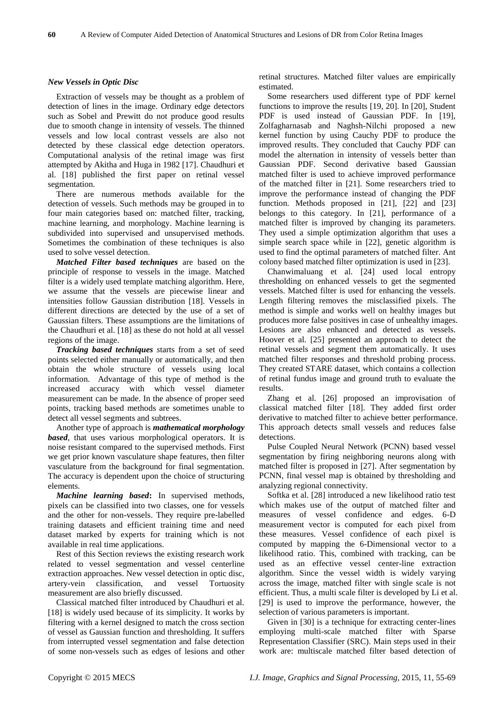### *New Vessels in Optic Disc*

Extraction of vessels may be thought as a problem of detection of lines in the image. Ordinary edge detectors such as Sobel and Prewitt do not produce good results due to smooth change in intensity of vessels. The thinned vessels and low local contrast vessels are also not detected by these classical edge detection operators. Computational analysis of the retinal image was first attempted by Akitha and Huga in 1982 [17]. Chaudhuri et al. [18] published the first paper on retinal vessel segmentation.

There are numerous methods available for the detection of vessels. Such methods may be grouped in to four main categories based on: matched filter, tracking, machine learning, and morphology. Machine learning is subdivided into supervised and unsupervised methods. Sometimes the combination of these techniques is also used to solve vessel detection.

*Matched Filter based techniques* are based on the principle of response to vessels in the image. Matched filter is a widely used template matching algorithm. Here, we assume that the vessels are piecewise linear and intensities follow Gaussian distribution [18]. Vessels in different directions are detected by the use of a set of Gaussian filters. These assumptions are the limitations of the Chaudhuri et al. [18] as these do not hold at all vessel regions of the image.

*Tracking based techniques s*tarts from a set of seed points selected either manually or automatically, and then obtain the whole structure of vessels using local information. Advantage of this type of method is the increased accuracy with which vessel diameter measurement can be made. In the absence of proper seed points, tracking based methods are sometimes unable to detect all vessel segments and subtrees.

Another type of approach is *mathematical morphology based*, that uses various morphological operators. It is noise resistant compared to the supervised methods. First we get prior known vasculature shape features, then filter vasculature from the background for final segmentation. The accuracy is dependent upon the choice of structuring elements.

*Machine learning based***:** In supervised methods, pixels can be classified into two classes, one for vessels and the other for non-vessels. They require pre-labelled training datasets and efficient training time and need dataset marked by experts for training which is not available in real time applications.

Rest of this Section reviews the existing research work related to vessel segmentation and vessel centerline extraction approaches. New vessel detection in optic disc, artery-vein classification, and vessel Tortuosity measurement are also briefly discussed.

Classical matched filter introduced by Chaudhuri et al. [18] is widely used because of its simplicity. It works by filtering with a kernel designed to match the cross section of vessel as Gaussian function and thresholding. It suffers from interrupted vessel segmentation and false detection of some non-vessels such as edges of lesions and other retinal structures. Matched filter values are empirically estimated.

Some researchers used different type of PDF kernel functions to improve the results [19, 20]. In [20], Student PDF is used instead of Gaussian PDF. In [19], Zolfagharnasab and Naghsh-Nilchi proposed a new kernel function by using Cauchy PDF to produce the improved results. They concluded that Cauchy PDF can model the alternation in intensity of vessels better than Gaussian PDF. Second derivative based Gaussian matched filter is used to achieve improved performance of the matched filter in [21]. Some researchers tried to improve the performance instead of changing the PDF function. Methods proposed in [21], [22] and [23] belongs to this category. In [21], performance of a matched filter is improved by changing its parameters. They used a simple optimization algorithm that uses a simple search space while in [22], genetic algorithm is used to find the optimal parameters of matched filter. Ant colony based matched filter optimization is used in [23].

Chanwimaluang et al. [24] used local entropy thresholding on enhanced vessels to get the segmented vessels. Matched filter is used for enhancing the vessels. Length filtering removes the misclassified pixels. The method is simple and works well on healthy images but produces more false positives in case of unhealthy images. Lesions are also enhanced and detected as vessels. Hoover et al. [25] presented an approach to detect the retinal vessels and segment them automatically. It uses matched filter responses and threshold probing process. They created STARE dataset, which contains a collection of retinal fundus image and ground truth to evaluate the results.

Zhang et al. [26] proposed an improvisation of classical matched filter [18]. They added first order derivative to matched filter to achieve better performance. This approach detects small vessels and reduces false detections.

Pulse Coupled Neural Network (PCNN) based vessel segmentation by firing neighboring neurons along with matched filter is proposed in [27]. After segmentation by PCNN, final vessel map is obtained by thresholding and analyzing regional connectivity.

Softka et al. [28] introduced a new likelihood ratio test which makes use of the output of matched filter and measures of vessel confidence and edges. 6-D measurement vector is computed for each pixel from these measures. Vessel confidence of each pixel is computed by mapping the 6-Dimensional vector to a likelihood ratio. This, combined with tracking, can be used as an effective vessel center-line extraction algorithm. Since the vessel width is widely varying across the image, matched filter with single scale is not efficient. Thus, a multi scale filter is developed by Li et al. [29] is used to improve the performance, however, the selection of various parameters is important.

Given in [30] is a technique for extracting center-lines employing multi-scale matched filter with Sparse Representation Classifier (SRC). Main steps used in their work are: multiscale matched filter based detection of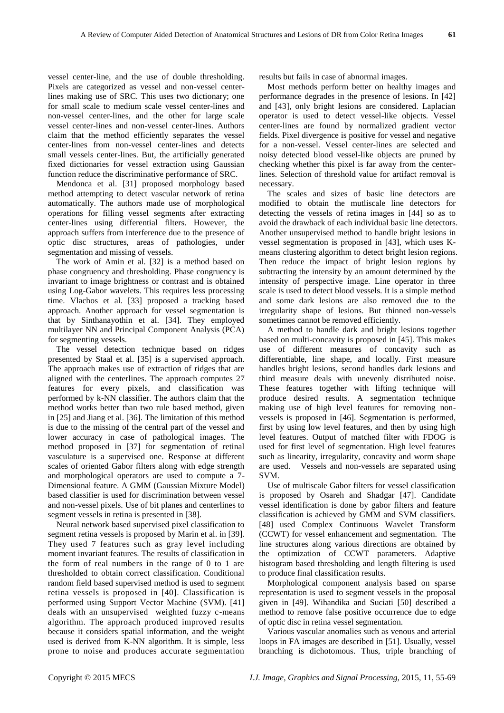vessel center-line, and the use of double thresholding. Pixels are categorized as vessel and non-vessel centerlines making use of SRC. This uses two dictionary; one for small scale to medium scale vessel center-lines and non-vessel center-lines, and the other for large scale vessel center-lines and non-vessel center-lines. Authors claim that the method efficiently separates the vessel center-lines from non-vessel center-lines and detects small vessels center-lines. But, the artificially generated fixed dictionaries for vessel extraction using Gaussian function reduce the discriminative performance of SRC.

Mendonca et al. [31] proposed morphology based method attempting to detect vascular network of retina automatically. The authors made use of morphological operations for filling vessel segments after extracting center-lines using differential filters. However, the approach suffers from interference due to the presence of optic disc structures, areas of pathologies, under segmentation and missing of vessels.

The work of Amin et al. [32] is a method based on phase congruency and thresholding. Phase congruency is invariant to image brightness or contrast and is obtained using Log-Gabor wavelets. This requires less processing time. Vlachos et al. [33] proposed a tracking based approach. Another approach for vessel segmentation is that by Sinthanayothin et al. [34]. They employed multilayer NN and Principal Component Analysis (PCA) for segmenting vessels.

The vessel detection technique based on ridges presented by Staal et al. [35] is a supervised approach. The approach makes use of extraction of ridges that are aligned with the centerlines. The approach computes 27 features for every pixels, and classification was performed by k-NN classifier. The authors claim that the method works better than two rule based method, given in [25] and Jiang et al. [36]. The limitation of this method is due to the missing of the central part of the vessel and lower accuracy in case of pathological images. The method proposed in [37] for segmentation of retinal vasculature is a supervised one. Response at different scales of oriented Gabor filters along with edge strength and morphological operators are used to compute a 7- Dimensional feature. A GMM (Gaussian Mixture Model) based classifier is used for discrimination between vessel and non-vessel pixels. Use of bit planes and centerlines to segment vessels in retina is presented in [38].

Neural network based supervised pixel classification to segment retina vessels is proposed by Marin et al. in [39]. They used 7 features such as gray level including moment invariant features. The results of classification in the form of real numbers in the range of 0 to 1 are thresholded to obtain correct classification. Conditional random field based supervised method is used to segment retina vessels is proposed in [40]. Classification is performed using Support Vector Machine (SVM). [41] deals with an unsupervised weighted fuzzy c-means algorithm. The approach produced improved results because it considers spatial information, and the weight used is derived from K-NN algorithm. It is simple, less prone to noise and produces accurate segmentation results but fails in case of abnormal images.

Most methods perform better on healthy images and performance degrades in the presence of lesions. In [42] and [43], only bright lesions are considered. Laplacian operator is used to detect vessel-like objects. Vessel center-lines are found by normalized gradient vector fields. Pixel divergence is positive for vessel and negative for a non-vessel. Vessel center-lines are selected and noisy detected blood vessel-like objects are pruned by checking whether this pixel is far away from the centerlines. Selection of threshold value for artifact removal is necessary.

The scales and sizes of basic line detectors are modified to obtain the mutliscale line detectors for detecting the vessels of retina images in [44] so as to avoid the drawback of each individual basic line detectors. Another unsupervised method to handle bright lesions in vessel segmentation is proposed in [43], which uses Kmeans clustering algorithm to detect bright lesion regions. Then reduce the impact of bright lesion regions by subtracting the intensity by an amount determined by the intensity of perspective image. Line operator in three scale is used to detect blood vessels. It is a simple method and some dark lesions are also removed due to the irregularity shape of lesions. But thinned non-vessels sometimes cannot be removed efficiently.

A method to handle dark and bright lesions together based on multi-concavity is proposed in [45]. This makes use of different measures of concavity such as differentiable, line shape, and locally. First measure handles bright lesions, second handles dark lesions and third measure deals with unevenly distributed noise. These features together with lifting technique will produce desired results. A segmentation technique making use of high level features for removing nonvessels is proposed in [46]. Segmentation is performed, first by using low level features, and then by using high level features. Output of matched filter with FDOG is used for first level of segmentation. High level features such as linearity, irregularity, concavity and worm shape are used. Vessels and non-vessels are separated using SVM.

Use of multiscale Gabor filters for vessel classification is proposed by Osareh and Shadgar [47]. Candidate vessel identification is done by gabor filters and feature classification is achieved by GMM and SVM classifiers. [48] used Complex Continuous Wavelet Transform (CCWT) for vessel enhancement and segmentation. The line structures along various directions are obtained by the optimization of CCWT parameters. Adaptive histogram based thresholding and length filtering is used to produce final classification results.

Morphological component analysis based on sparse representation is used to segment vessels in the proposal given in [49]. Wihandika and Suciati [50] described a method to remove false positive occurrence due to edge of optic disc in retina vessel segmentation.

Various vascular anomalies such as venous and arterial loops in FA images are described in [51]. Usually, vessel branching is dichotomous. Thus, triple branching of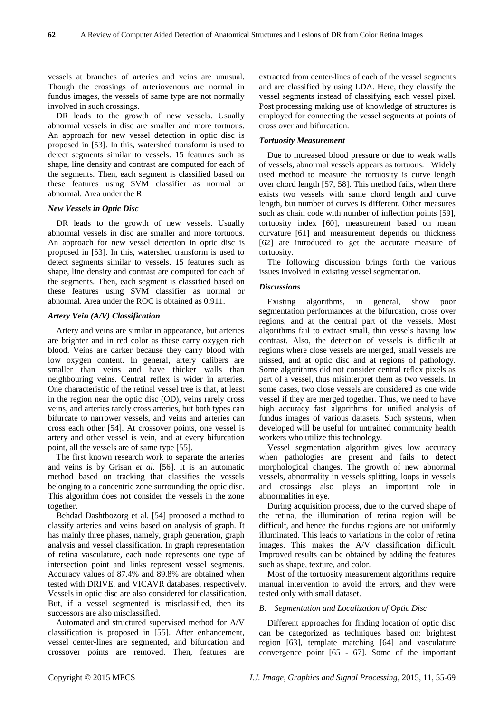vessels at branches of arteries and veins are unusual. Though the crossings of arteriovenous are normal in fundus images, the vessels of same type are not normally involved in such crossings.

DR leads to the growth of new vessels. Usually abnormal vessels in disc are smaller and more tortuous. An approach for new vessel detection in optic disc is proposed in [53]. In this, watershed transform is used to detect segments similar to vessels. 15 features such as shape, line density and contrast are computed for each of the segments. Then, each segment is classified based on these features using SVM classifier as normal or abnormal. Area under the R

## *New Vessels in Optic Disc*

DR leads to the growth of new vessels. Usually abnormal vessels in disc are smaller and more tortuous. An approach for new vessel detection in optic disc is proposed in [53]. In this, watershed transform is used to detect segments similar to vessels. 15 features such as shape, line density and contrast are computed for each of the segments. Then, each segment is classified based on these features using SVM classifier as normal or abnormal. Area under the ROC is obtained as 0.911.

### *Artery Vein (A/V) Classification*

Artery and veins are similar in appearance, but arteries are brighter and in red color as these carry oxygen rich blood. Veins are darker because they carry blood with low oxygen content. In general, artery calibers are smaller than veins and have thicker walls than neighbouring veins. Central reflex is wider in arteries. One characteristic of the retinal vessel tree is that, at least in the region near the optic disc (OD), veins rarely cross veins, and arteries rarely cross arteries, but both types can bifurcate to narrower vessels, and veins and arteries can cross each other [54]. At crossover points, one vessel is artery and other vessel is vein, and at every bifurcation point, all the vessels are of same type [55].

The first known research work to separate the arteries and veins is by Grisan *et al.* [56]. It is an automatic method based on tracking that classifies the vessels belonging to a concentric zone surrounding the optic disc. This algorithm does not consider the vessels in the zone together.

Behdad Dashtbozorg et al. [54] proposed a method to classify arteries and veins based on analysis of graph. It has mainly three phases, namely, graph generation, graph analysis and vessel classification. In graph representation of retina vasculature, each node represents one type of intersection point and links represent vessel segments. Accuracy values of 87.4% and 89.8% are obtained when tested with DRIVE, and VICAVR databases, respectively. Vessels in optic disc are also considered for classification. But, if a vessel segmented is misclassified, then its successors are also misclassified.

Automated and structured supervised method for A/V classification is proposed in [55]. After enhancement, vessel center-lines are segmented, and bifurcation and crossover points are removed. Then, features are

extracted from center-lines of each of the vessel segments and are classified by using LDA. Here, they classify the vessel segments instead of classifying each vessel pixel. Post processing making use of knowledge of structures is employed for connecting the vessel segments at points of cross over and bifurcation.

## *Tortuosity Measurement*

Due to increased blood pressure or due to weak walls of vessels, abnormal vessels appears as tortuous. Widely used method to measure the tortuosity is curve length over chord length [57, 58]. This method fails, when there exists two vessels with same chord length and curve length, but number of curves is different. Other measures such as chain code with number of inflection points [59], tortuosity index [60], measurement based on mean curvature [61] and measurement depends on thickness [62] are introduced to get the accurate measure of tortuosity.

The following discussion brings forth the various issues involved in existing vessel segmentation.

#### *Discussions*

Existing algorithms, in general, show poor segmentation performances at the bifurcation, cross over regions, and at the central part of the vessels. Most algorithms fail to extract small, thin vessels having low contrast. Also, the detection of vessels is difficult at regions where close vessels are merged, small vessels are missed, and at optic disc and at regions of pathology. Some algorithms did not consider central reflex pixels as part of a vessel, thus misinterpret them as two vessels. In some cases, two close vessels are considered as one wide vessel if they are merged together. Thus, we need to have high accuracy fast algorithms for unified analysis of fundus images of various datasets. Such systems, when developed will be useful for untrained community health workers who utilize this technology.

Vessel segmentation algorithm gives low accuracy when pathologies are present and fails to detect morphological changes. The growth of new abnormal vessels, abnormality in vessels splitting, loops in vessels and crossings also plays an important role in abnormalities in eye.

During acquisition process, due to the curved shape of the retina, the illumination of retina region will be difficult, and hence the fundus regions are not uniformly illuminated. This leads to variations in the color of retina images. This makes the A/V classification difficult. Improved results can be obtained by adding the features such as shape, texture, and color.

Most of the tortuosity measurement algorithms require manual intervention to avoid the errors, and they were tested only with small dataset.

#### *B. Segmentation and Localization of Optic Disc*

Different approaches for finding location of optic disc can be categorized as techniques based on: brightest region [63], template matching [64] and vasculature convergence point [65 - 67]. Some of the important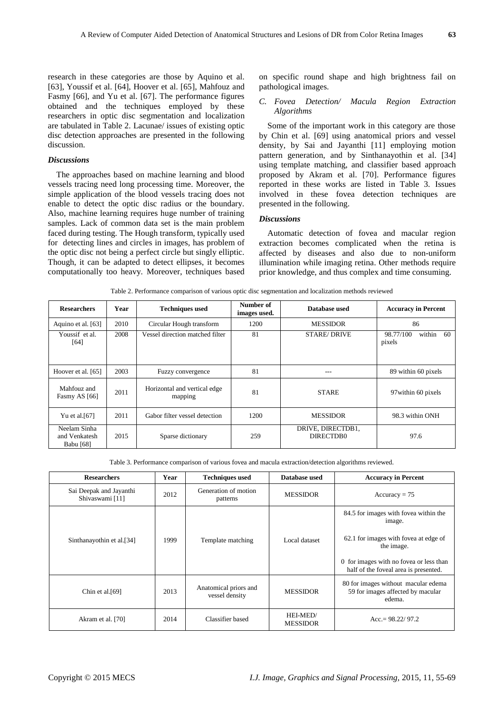research in these categories are those by Aquino et al. [63], Youssif et al. [64], Hoover et al. [65], Mahfouz and Fasmy [66], and Yu et al. [67]. The performance figures obtained and the techniques employed by these researchers in optic disc segmentation and localization are tabulated in Table 2. Lacunae/ issues of existing optic disc detection approaches are presented in the following discussion.

#### *Discussions*

The approaches based on machine learning and blood vessels tracing need long processing time. Moreover, the simple application of the blood vessels tracing does not enable to detect the optic disc radius or the boundary. Also, machine learning requires huge number of training samples. Lack of common data set is the main problem faced during testing. The Hough transform, typically used for detecting lines and circles in images, has problem of the optic disc not being a perfect circle but singly elliptic. Though, it can be adapted to detect ellipses, it becomes computationally too heavy. Moreover, techniques based on specific round shape and high brightness fail on pathological images.

# *C. Fovea Detection/ Macula Region Extraction Algorithms*

Some of the important work in this category are those by Chin et al. [69] using anatomical priors and vessel density, by Sai and Jayanthi [11] employing motion pattern generation, and by Sinthanayothin et al. [34] using template matching, and classifier based approach proposed by Akram et al. [70]. Performance figures reported in these works are listed in Table 3. Issues involved in these fovea detection techniques are presented in the following.

# *Discussions*

Automatic detection of fovea and macular region extraction becomes complicated when the retina is affected by diseases and also due to non-uniform illumination while imaging retina. Other methods require prior knowledge, and thus complex and time consuming.

| <b>Researchers</b>                         | Year                      | <b>Techniques used</b>                  | Number of<br>images used. | Database used                  | <b>Accuracy in Percent</b>           |  |  |
|--------------------------------------------|---------------------------|-----------------------------------------|---------------------------|--------------------------------|--------------------------------------|--|--|
| Aquino et al. [63]                         | 2010                      | Circular Hough transform                | 1200                      | <b>MESSIDOR</b>                | 86                                   |  |  |
| Youssif et al.<br>[64]                     | 2008                      | Vessel direction matched filter         | 81                        | <b>STARE/DRIVE</b>             | 98.77/100<br>within<br>-60<br>pixels |  |  |
| Hoover et al. [65]                         | 2003                      | Fuzzy convergence                       | 81                        | ---                            | 89 within 60 pixels                  |  |  |
| Mahfouz and<br>Fasmy AS [66]               | 2011                      | Horizontal and vertical edge<br>mapping | 81                        | <b>STARE</b>                   | 97 within 60 pixels                  |  |  |
| Yu et al. [67]                             | 2011                      | Gabor filter vessel detection           | 1200                      | <b>MESSIDOR</b>                | 98.3 within ONH                      |  |  |
| Neelam Sinha<br>and Venkatesh<br>Babu [68] | 2015<br>Sparse dictionary |                                         | 259                       | DRIVE, DIRECTDB1,<br>DIRECTDB0 | 97.6                                 |  |  |

Table 2. Performance comparison of various optic disc segmentation and localization methods reviewed

Table 3. Performance comparison of various fovea and macula extraction/detection algorithms reviewed.

| <b>Researchers</b>                         | Year | <b>Techniques used</b>                  | Database used               | <b>Accuracy in Percent</b>                                                                                                                                                                 |  |  |
|--------------------------------------------|------|-----------------------------------------|-----------------------------|--------------------------------------------------------------------------------------------------------------------------------------------------------------------------------------------|--|--|
| Sai Deepak and Jayanthi<br>Shivaswami [11] | 2012 | Generation of motion<br>patterns        | <b>MESSIDOR</b>             | $Accuracy = 75$                                                                                                                                                                            |  |  |
| Sinthanayothin et al.[34]                  | 1999 | Template matching                       | Local dataset               | 84.5 for images with fovea within the<br>image.<br>62.1 for images with fovea at edge of<br>the image.<br>0 for images with no fove aor less than<br>half of the foveal area is presented. |  |  |
| Chin et al.[69]                            | 2013 | Anatomical priors and<br>vessel density | <b>MESSIDOR</b>             | 80 for images without macular edema<br>59 for images affected by macular<br>edema.                                                                                                         |  |  |
| Akram et al. [70]                          | 2014 | Classifier based                        | HEI-MED/<br><b>MESSIDOR</b> | $Acc = 98.22/97.2$                                                                                                                                                                         |  |  |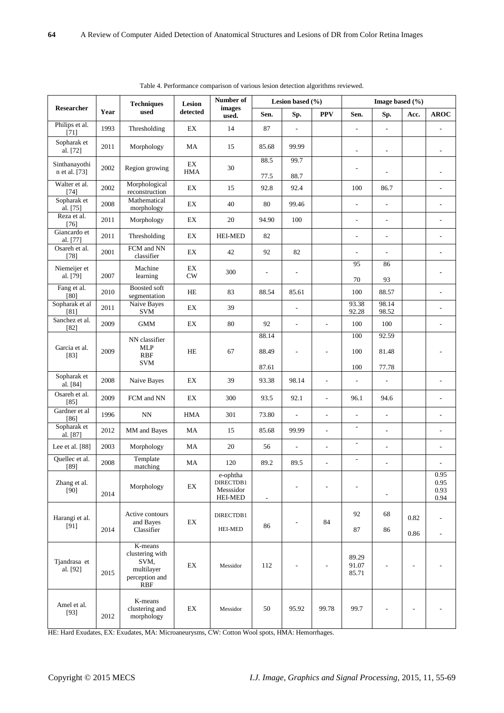| Researcher               | Year           | <b>Techniques</b><br>used                                                        | Lesion<br>detected         | Number of<br>images<br>used.                         | Lesion based $(\% )$     |                          |                          | Image based $(\% )$      |                              |      |                              |
|--------------------------|----------------|----------------------------------------------------------------------------------|----------------------------|------------------------------------------------------|--------------------------|--------------------------|--------------------------|--------------------------|------------------------------|------|------------------------------|
|                          |                |                                                                                  |                            |                                                      | Sen.                     | Sp.                      | <b>PPV</b>               | Sen.                     | Sp.                          | Acc. | <b>AROC</b>                  |
| Philips et al.<br>$[71]$ | 1993           | Thresholding                                                                     | $\mathop{\rm EX}\nolimits$ | 14                                                   | 87                       | ÷,                       |                          | $\overline{a}$           | ÷,                           |      |                              |
| Sopharak et<br>al. [72]  | 2011           | Morphology                                                                       | MA                         | 15                                                   | 85.68                    | 99.99                    |                          | $\overline{a}$           | ÷,                           |      |                              |
| Sinthanayothi<br>2002    | Region growing | EX                                                                               | 30                         | 88.5                                                 | 99.7                     |                          | $\overline{a}$           |                          |                              |      |                              |
| n et al. [73]            |                |                                                                                  | <b>HMA</b>                 |                                                      | 77.5                     | 88.7                     |                          |                          |                              |      |                              |
| Walter et al.<br>$[74]$  | 2002           | Morphological<br>reconstruction                                                  | EX                         | 15                                                   | 92.8                     | 92.4                     |                          | 100                      | 86.7                         |      | L.                           |
| Sopharak et<br>al. [75]  | 2008           | Mathematical<br>morphology                                                       | EX                         | 40                                                   | 80                       | 99.46                    |                          | $\overline{\phantom{a}}$ | $\overline{\phantom{a}}$     |      | L,                           |
| Reza et al.<br>$[76]$    | 2011           | Morphology                                                                       | EX                         | $20\,$                                               | 94.90                    | 100                      |                          | $\overline{\phantom{a}}$ | $\overline{\phantom{a}}$     |      | $\overline{\phantom{a}}$     |
| Giancardo et<br>al. [77] | 2011           | Thresholding                                                                     | EX                         | <b>HEI-MED</b>                                       | 82                       |                          |                          | L,                       | $\overline{\phantom{a}}$     |      | $\overline{a}$               |
| Osareh et al.<br>$[78]$  | 2001           | FCM and NN<br>classifier                                                         | EX                         | 42                                                   | 92                       | 82                       |                          | $\overline{\phantom{a}}$ | $\overline{\phantom{a}}$     |      |                              |
| Niemeijer et<br>al. [79] | 2007           | Machine<br>learning                                                              | EX<br>CW                   | 300                                                  | $\overline{\phantom{a}}$ | ÷,                       |                          | 95                       | 86                           |      |                              |
| Fang et al.              | 2010           | <b>Boosted soft</b>                                                              | $\rm HE$                   | 83                                                   | 88.54                    | 85.61                    |                          | 70<br>100                | 93<br>88.57                  |      | L.                           |
| [80]<br>Sopharak et al   | 2011           | segmentation<br>Naive Bayes                                                      | EX                         | 39                                                   |                          | $\overline{\phantom{a}}$ |                          | 93.38                    | 98.14                        |      |                              |
| [81]<br>Sanchez et al.   | 2009           | <b>SVM</b><br><b>GMM</b>                                                         | EX                         | 80                                                   | 92                       | $\overline{\phantom{a}}$ | $\overline{\phantom{a}}$ | 92.28<br>$100\,$         | 98.52<br>100                 |      |                              |
| $[82]$                   |                |                                                                                  |                            |                                                      | 88.14                    |                          |                          | 100                      | 92.59                        |      |                              |
| Garcia et al.<br>$[83]$  | 2009           | NN classifier<br><b>MLP</b><br><b>RBF</b>                                        | $\rm HE$                   | 67                                                   | 88.49                    |                          | $\overline{a}$           | 100                      | 81.48                        |      |                              |
|                          |                | <b>SVM</b>                                                                       |                            |                                                      | 87.61                    |                          |                          | 100                      | 77.78                        |      |                              |
| Sopharak et<br>al. [84]  | 2008           | Naive Bayes                                                                      | EX                         | 39                                                   | 93.38                    | 98.14                    | L,                       | $\overline{a}$           | ÷,                           |      |                              |
| Osareh et al.<br>$[85]$  | 2009           | FCM and NN                                                                       | $\mathop{\rm EX}\nolimits$ | 300                                                  | 93.5                     | 92.1                     | $\overline{\phantom{a}}$ | 96.1                     | 94.6                         |      | $\overline{a}$               |
| Gardner et al<br>$[86]$  | 1996           | $\mathbf{N} \mathbf{N}$                                                          | <b>HMA</b>                 | 301                                                  | 73.80                    | ÷,                       | $\overline{\phantom{a}}$ | $\frac{1}{2}$            | ÷,                           |      |                              |
| Sopharak et<br>al. [87]  | 2012           | MM and Bayes                                                                     | MA                         | 15                                                   | 85.68                    | 99.99                    | $\overline{\phantom{a}}$ | $\overline{\phantom{a}}$ | $\overline{\phantom{a}}$     |      | ÷                            |
| Lee et al. [88]          | 2003           | Morphology                                                                       | MA                         | 20                                                   | 56                       | ÷,                       | $\overline{\phantom{a}}$ | $\overline{\phantom{a}}$ | ÷,                           |      | L.                           |
| Quellec et al.<br>$[89]$ | 2008           | Template<br>matching                                                             | MA                         | 120                                                  | 89.2                     | 89.5                     | $\overline{a}$           | $\overline{\phantom{a}}$ | $\overline{a}$               |      |                              |
| Zhang et al.<br>[90]     | 2014           | Morphology                                                                       | EX                         | e-ophtha<br>DIRECTDB1<br>Messsidor<br><b>HEI-MED</b> | $\blacksquare$           |                          |                          |                          | $\qquad \qquad \blacksquare$ |      | 0.95<br>0.95<br>0.93<br>0.94 |
| Harangi et al.<br>[91]   | 2014           | Active contours<br>and Bayes<br>Classifier                                       | EX                         | DIRECTDB1                                            |                          | 84<br>$\overline{a}$     |                          | 92                       | 68                           | 0.82 |                              |
|                          |                |                                                                                  |                            | <b>HEI-MED</b>                                       | 86                       |                          |                          | 87                       | 86                           | 0.86 | ÷.                           |
| Tjandrasa et<br>al. [92] | 2015           | K-means<br>clustering with<br>SVM,<br>multilayer<br>perception and<br><b>RBF</b> | EX                         | Messidor                                             | 112                      | $\overline{\phantom{a}}$ | ÷,                       | 89.29<br>91.07<br>85.71  |                              |      |                              |
| Amel et al.<br>[93]      | 2012           | K-means<br>clustering and<br>morphology                                          | $\mathop{\rm EX}\nolimits$ | Messidor                                             | 50                       | 95.92                    | 99.78                    | 99.7                     |                              |      |                              |

Table 4. Performance comparison of various lesion detection algorithms reviewed.

HE: Hard Exudates, EX: Exudates, MA: Microaneurysms, CW: Cotton Wool spots, HMA: Hemorrhages.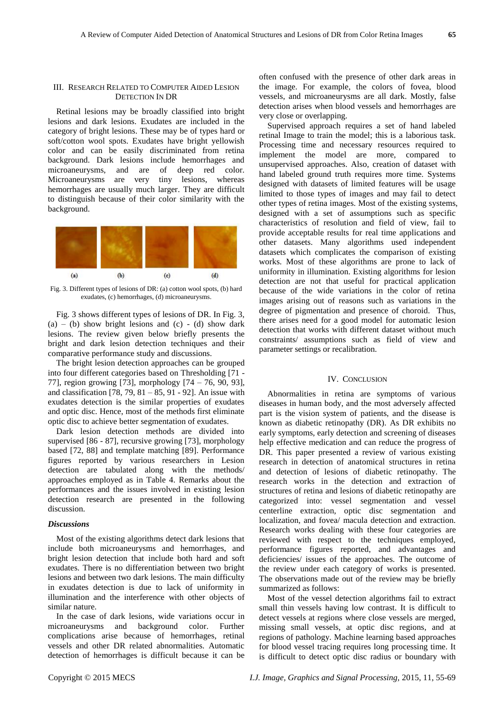# III.RESEARCH RELATED TO COMPUTER AIDED LESION DETECTION IN DR

Retinal lesions may be broadly classified into bright lesions and dark lesions. Exudates are included in the category of bright lesions. These may be of types hard or soft/cotton wool spots. Exudates have bright yellowish color and can be easily discriminated from retina background. Dark lesions include hemorrhages and microaneurysms, and are of deep red color. Microaneurysms are very tiny lesions, whereas hemorrhages are usually much larger. They are difficult to distinguish because of their color similarity with the background.



Fig. 3. Different types of lesions of DR: (a) cotton wool spots, (b) hard exudates, (c) hemorrhages, (d) microaneurysms.

Fig. 3 shows different types of lesions of DR. In Fig. 3,  $(a) - (b)$  show bright lesions and  $(c) - (d)$  show dark lesions. The review given below briefly presents the bright and dark lesion detection techniques and their comparative performance study and discussions.

The bright lesion detection approaches can be grouped into four different categories based on Thresholding [71 - 77], region growing [73], morphology [74 – 76, 90, 93], and classification [78, 79, 81 – 85, 91 - 92]. An issue with exudates detection is the similar properties of exudates and optic disc. Hence, most of the methods first eliminate optic disc to achieve better segmentation of exudates.

Dark lesion detection methods are divided into supervised [86 - 87], recursive growing [73], morphology based [72, 88] and template matching [89]. Performance figures reported by various researchers in Lesion detection are tabulated along with the methods/ approaches employed as in Table 4. Remarks about the performances and the issues involved in existing lesion detection research are presented in the following discussion.

#### *Discussions*

Most of the existing algorithms detect dark lesions that include both microaneurysms and hemorrhages, and bright lesion detection that include both hard and soft exudates. There is no differentiation between two bright lesions and between two dark lesions. The main difficulty in exudates detection is due to lack of uniformity in illumination and the interference with other objects of similar nature.

In the case of dark lesions, wide variations occur in microaneurysms and background color. Further complications arise because of hemorrhages, retinal vessels and other DR related abnormalities. Automatic detection of hemorrhages is difficult because it can be

often confused with the presence of other dark areas in the image. For example, the colors of fovea, blood vessels, and microaneurysms are all dark. Mostly, false detection arises when blood vessels and hemorrhages are very close or overlapping.

Supervised approach requires a set of hand labeled retinal Image to train the model; this is a laborious task. Processing time and necessary resources required to implement the model are more, compared to unsupervised approaches. Also, creation of dataset with hand labeled ground truth requires more time. Systems designed with datasets of limited features will be usage limited to those types of images and may fail to detect other types of retina images. Most of the existing systems, designed with a set of assumptions such as specific characteristics of resolution and field of view, fail to provide acceptable results for real time applications and other datasets. Many algorithms used independent datasets which complicates the comparison of existing works. Most of these algorithms are prone to lack of uniformity in illumination. Existing algorithms for lesion detection are not that useful for practical application because of the wide variations in the color of retina images arising out of reasons such as variations in the degree of pigmentation and presence of choroid. Thus, there arises need for a good model for automatic lesion detection that works with different dataset without much constraints/ assumptions such as field of view and parameter settings or recalibration.

# IV. CONCLUSION

Abnormalities in retina are symptoms of various diseases in human body, and the most adversely affected part is the vision system of patients, and the disease is known as diabetic retinopathy (DR). As DR exhibits no early symptoms, early detection and screening of diseases help effective medication and can reduce the progress of DR. This paper presented a review of various existing research in detection of anatomical structures in retina and detection of lesions of diabetic retinopathy. The research works in the detection and extraction of structures of retina and lesions of diabetic retinopathy are categorized into: vessel segmentation and vessel centerline extraction, optic disc segmentation and localization, and fovea/ macula detection and extraction. Research works dealing with these four categories are reviewed with respect to the techniques employed, performance figures reported, and advantages and deficiencies/ issues of the approaches. The outcome of the review under each category of works is presented. The observations made out of the review may be briefly summarized as follows:

Most of the vessel detection algorithms fail to extract small thin vessels having low contrast. It is difficult to detect vessels at regions where close vessels are merged, missing small vessels, at optic disc regions, and at regions of pathology. Machine learning based approaches for blood vessel tracing requires long processing time. It is difficult to detect optic disc radius or boundary with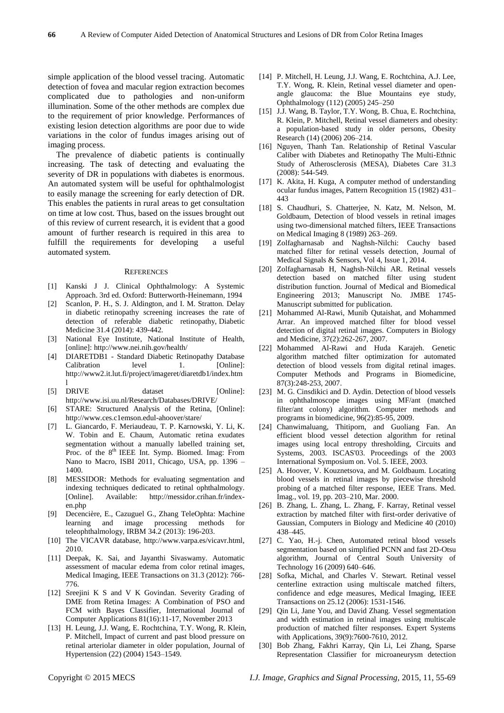simple application of the blood vessel tracing. Automatic detection of fovea and macular region extraction becomes complicated due to pathologies and non-uniform illumination. Some of the other methods are complex due to the requirement of prior knowledge. Performances of existing lesion detection algorithms are poor due to wide variations in the color of fundus images arising out of imaging process.

The prevalence of diabetic patients is continually increasing. The task of detecting and evaluating the severity of DR in populations with diabetes is enormous. An automated system will be useful for ophthalmologist to easily manage the screening for early detection of DR. This enables the patients in rural areas to get consultation on time at low cost. Thus, based on the issues brought out of this review of current research, it is evident that a good amount of further research is required in this area to fulfill the requirements for developing a useful automated system.

#### **REFERENCES**

- [1] Kanski J J. Clinical Ophthalmology: A Systemic Approach. 3rd ed. Oxford: Butterworth-Heinemann, 1994
- [2] Scanlon, P. H., S. J. Aldington, and I. M. Stratton. Delay in diabetic retinopathy screening increases the rate of detection of referable diabetic retinopathy, Diabetic Medicine 31.4 (2014): 439-442.
- [3] National Eye Institute, National Institute of Health, [online]: http://www.nei.nih.gov/health/
- [4] DIARETDB1 Standard Diabetic Retinopathy Database Calibration level 1. [Online]: http://www2.it.lut.fi/project/imageret/diaretdb1/index.htm l
- [5] DRIVE dataset [Online]: http://www.isi.uu.nl/Research/Databases/DRIVE/
- [6] STARE: Structured Analysis of the Retina, [Online]: http://www.ces.c1emson.edul-ahoover/stare/
- [7] L. Giancardo, F. Meriaudeau, T. P. Karnowski, Y. Li, K. W. Tobin and E. Chaum, Automatic retina exudates segmentation without a manually labelled training set, Proc. of the 8<sup>th</sup> IEEE Int. Symp. Biomed. Imag: From Nano to Macro, ISBI 2011, Chicago, USA, pp. 1396 – 1400.
- [8] MESSIDOR: Methods for evaluating segmentation and indexing techniques dedicated to retinal ophthalmology. [Online]. Available: http://messidor.crihan.fr/indexen.php
- [9] Decencière, E., Cazuguel G., Zhang TeleOphta: Machine learning and image processing methods for teleophthalmology, IRBM 34.2 (2013): 196-203.
- [10] The VICAVR database, http://www.varpa.es/vicavr.html, 2010.
- [11] Deepak, K. Sai, and Jayanthi Sivaswamy. Automatic assessment of macular edema from color retinal images, Medical Imaging, IEEE Transactions on 31.3 (2012): 766- 776.
- [12] Sreejini K S and V K Govindan. Severity Grading of DME from Retina Images: A Combination of PSO and FCM with Bayes Classifier, International Journal of Computer Applications 81(16):11-17, November 2013
- [13] H. Leung, J.J. Wang, E. Rochtchina, T.Y. Wong, R. Klein, P. Mitchell, Impact of current and past blood pressure on retinal arteriolar diameter in older population, Journal of Hypertension (22) (2004) 1543–1549.
- [14] P. Mitchell, H. Leung, J.J. Wang, E. Rochtchina, A.J. Lee, T.Y. Wong, R. Klein, Retinal vessel diameter and openangle glaucoma: the Blue Mountains eye study, Ophthalmology (112) (2005) 245–250
- [15] J.J. Wang, B. Taylor, T.Y. Wong, B. Chua, E. Rochtchina, R. Klein, P. Mitchell, Retinal vessel diameters and obesity: a population-based study in older persons, Obesity Research (14) (2006) 206–214.
- [16] Nguyen, Thanh Tan. Relationship of Retinal Vascular Caliber with Diabetes and Retinopathy The Multi-Ethnic Study of Atherosclerosis (MESA), Diabetes Care 31.3 (2008): 544-549.
- [17] K. Akita, H. Kuga, A computer method of understanding ocular fundus images, Pattern Recognition 15 (1982) 431– 443
- [18] S. Chaudhuri, S. Chatterjee, N. Katz, M. Nelson, M. Goldbaum, Detection of blood vessels in retinal images using two-dimensional matched filters, IEEE Transactions on Medical Imaging 8 (1989) 263–269.
- [19] Zolfagharnasab and Naghsh-Nilchi: Cauchy based matched filter for retinal vessels detection, Journal of Medical Signals & Sensors, Vol 4, Issue 1, 2014.
- [20] Zolfagharnasab H, Naghsh-Nilchi AR. Retinal vessels detection based on matched filter using student distribution function. Journal of Medical and Biomedical Engineering 2013; Manuscript No. JMBE 1745- Manuscript submitted for publication.
- [21] Mohammed Al-Rawi, Munib Qutaishat, and Mohammed Arrar. An improved matched filter for blood vessel detection of digital retinal images. Computers in Biology and Medicine, 37(2):262-267, 2007.
- [22] Mohammed Al-Rawi and Huda Karajeh. Genetic algorithm matched filter optimization for automated detection of blood vessels from digital retinal images. Computer Methods and Programs in Biomedicine, 87(3):248-253, 2007.
- [23] M. G. Cinsdikici and D. Aydin. Detection of blood vessels in ophthalmoscope images using MF/ant (matched filter/ant colony) algorithm. Computer methods and programs in biomedicine, 96(2):85-95, 2009.
- [24] Chanwimaluang, Thitiporn, and Guoliang Fan. An efficient blood vessel detection algorithm for retinal images using local entropy thresholding, Circuits and Systems, 2003. ISCAS'03. Proceedings of the 2003 International Symposium on. Vol. 5. IEEE, 2003.
- [25] A. Hoover, V. Kouznetsova, and M. Goldbaum. Locating blood vessels in retinal images by piecewise threshold probing of a matched filter response, IEEE Trans. Med. Imag., vol. 19, pp. 203–210, Mar. 2000.
- [26] B. Zhang, L. Zhang, L. Zhang, F. Karray, Retinal vessel extraction by matched filter with first-order derivative of Gaussian, Computers in Biology and Medicine 40 (2010) 438–445.
- [27] C. Yao, H.-j. Chen, Automated retinal blood vessels segmentation based on simplified PCNN and fast 2D-Otsu algorithm, Journal of Central South University of Technology 16 (2009) 640–646.
- [28] Sofka, Michal, and Charles V. Stewart. Retinal vessel centerline extraction using multiscale matched filters, confidence and edge measures, Medical Imaging, IEEE Transactions on 25.12 (2006): 1531-1546.
- [29] Oin Li, Jane You, and David Zhang. Vessel segmentation and width estimation in retinal images using multiscale production of matched filter responses. Expert Systems with Applications, 39(9):7600-7610, 2012.
- [30] Bob Zhang, Fakhri Karray, Qin Li, Lei Zhang, Sparse Representation Classifier for microaneurysm detection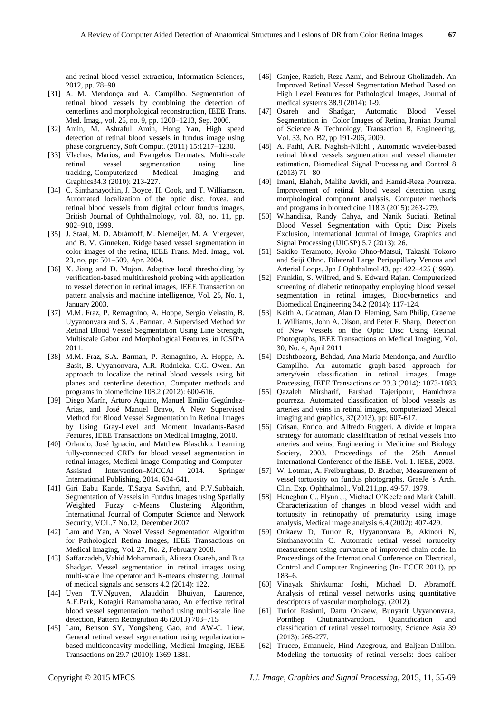and retinal blood vessel extraction, Information Sciences, 2012, pp. 78–90.

- [31] A. M. Mendonça and A. Campilho. Segmentation of retinal blood vessels by combining the detection of centerlines and morphological reconstruction, IEEE Trans. Med. Imag., vol. 25, no. 9, pp. 1200–1213, Sep. 2006.
- [32] Amin, M. Ashraful Amin, Hong Yan, High speed detection of retinal blood vessels in fundus image using phase congruency, Soft Comput. (2011) 15:1217–1230.
- [33] Vlachos, Marios, and Evangelos Dermatas. Multi-scale retinal vessel segmentation using line tracking, Computerized Medical Imaging and Graphics34.3 (2010): 213-227.
- [34] C. Sinthanayothin, J. Boyce, H. Cook, and T. Williamson. Automated localization of the optic disc, fovea, and retinal blood vessels from digital colour fundus images, British Journal of Ophthalmology, vol. 83, no. 11, pp. 902–910, 1999.
- [35] J. Staal, M. D. Abràmoff, M. Niemeijer, M. A. Viergever, and B. V. Ginneken. Ridge based vessel segmentation in color images of the retina, IEEE Trans. Med. Imag., vol. 23, no, pp: 501–509, Apr. 2004.
- [36] X. Jiang and D. Mojon. Adaptive local thresholding by verification-based multithreshold probing with application to vessel detection in retinal images, IEEE Transaction on pattern analysis and machine intelligence, Vol. 25, No. 1, January 2003.
- [37] M.M. Fraz, P. Remagnino, A. Hoppe, Sergio Velastin, B. Uyyanonvara and S. A .Barman. A Supervised Method for Retinal Blood Vessel Segmentation Using Line Strength, Multiscale Gabor and Morphological Features, in ICSIPA 2011.
- [38] M.M. Fraz, S.A. Barman, P. Remagnino, A. Hoppe, A. Basit, B. Uyyanonvara, A.R. Rudnicka, C.G. Owen. An approach to localize the retinal blood vessels using bit planes and centerline detection, Computer methods and programs in biomedicine 108.2 (2012): 600-616.
- [39] Diego Mar ín, Arturo Aquino, Manuel Emilio Geg úndez-Arias, and José Manuel Bravo, A New Supervised Method for Blood Vessel Segmentation in Retinal Images by Using Gray-Level and Moment Invariants-Based Features, IEEE Transactions on Medical Imaging, 2010.
- [40] Orlando, José Ignacio, and Matthew Blaschko. Learning fully-connected CRFs for blood vessel segmentation in retinal images, Medical Image Computing and Computer-Assisted Intervention–MICCAI 2014. Springer International Publishing, 2014. 634-641.
- [41] Giri Babu Kande, T.Satya Savithri, and P.V.Subbaiah, Segmentation of Vessels in Fundus Images using Spatially Weighted Fuzzy c-Means Clustering Algorithm, International Journal of Computer Science and Network Security, VOL.7 No.12, December 2007
- [42] Lam and Yan, A Novel Vessel Segmentation Algorithm for Pathological Retina Images, IEEE Transactions on Medical Imaging, Vol. 27, No. 2, February 2008.
- [43] Saffarzadeh, Vahid Mohammadi, Alireza Osareh, and Bita Shadgar. Vessel segmentation in retinal images using multi-scale line operator and K-means clustering, Journal of medical signals and sensors 4.2 (2014): 122.
- [44] Uyen T.V.Nguyen, Alauddin Bhuiyan, Laurence, A.F.Park, Kotagiri Ramamohanarao, An effective retinal blood vessel segmentation method using multi-scale line detection, Pattern Recognition 46 (2013) 703–715
- [45] Lam, Benson SY, Yongsheng Gao, and AW-C. Liew. General retinal vessel segmentation using regularizationbased multiconcavity modelling, Medical Imaging, IEEE Transactions on 29.7 (2010): 1369-1381.
- [46] Ganjee, Razieh, Reza Azmi, and Behrouz Gholizadeh. An Improved Retinal Vessel Segmentation Method Based on High Level Features for Pathological Images, Journal of medical systems 38.9 (2014): 1-9.
- [47] Osareh and Shadgar, Automatic Blood Vessel Segmentation in Color Images of Retina, Iranian Journal of Science & Technology, Transaction B, Engineering, Vol. 33, No. B2, pp 191-206, 2009.
- [48] A. Fathi, A.R. Naghsh-Nilchi, Automatic wavelet-based retinal blood vessels segmentation and vessel diameter estimation, Biomedical Signal Processing and Control 8 (2013) 71– 80
- [49] Imani, Elaheh, Malihe Javidi, and Hamid-Reza Pourreza. Improvement of retinal blood vessel detection using morphological component analysis, Computer methods and programs in biomedicine 118.3 (2015): 263-279.
- [50] Wihandika, Randy Cahya, and Nanik Suciati. Retinal Blood Vessel Segmentation with Optic Disc Pixels Exclusion, International Journal of Image, Graphics and Signal Processing (IJIGSP) 5.7 (2013): 26.
- [51] Sakiko Teramoto, Kyoko Ohno-Matsui, Takashi Tokoro and Seiji Ohno. Bilateral Large Peripapillary Venous and Arterial Loops, Jpn J Ophthalmol 43, pp: 422–425 (1999).
- [52] Franklin, S. Wilfred, and S. Edward Rajan. Computerized screening of diabetic retinopathy employing blood vessel segmentation in retinal images, Biocybernetics and Biomedical Engineering 34.2 (2014): 117-124.
- [53] Keith A. Goatman, Alan D. Fleming, Sam Philip, Graeme J. Williams, John A. Olson, and Peter F. Sharp, Detection of New Vessels on the Optic Disc Using Retinal Photographs, IEEE Transactions on Medical Imaging, Vol. 30, No. 4, April 2011
- [54] Dashtbozorg, Behdad, Ana Maria Mendonça, and Aurélio Campilho. An automatic graph-based approach for artery/vein classification in retinal images, Image Processing, IEEE Transactions on 23.3 (2014): 1073-1083.
- [55] Qazaleh Mirsharif, Farshad Tajeripour, Hamidreza pourreza. Automated classification of blood vessels as arteries and veins in retinal images, computerized Meical imaging and graphics, 37(2013), pp: 607-617.
- [56] Grisan, Enrico, and Alfredo Ruggeri. A divide et impera strategy for automatic classification of retinal vessels into arteries and veins, Engineering in Medicine and Biology Society, 2003. Proceedings of the 25th Annual International Conference of the IEEE. Vol. 1. IEEE, 2003.
- [57] W. Lotmar, A. Freiburghaus, D. Bracher, Measurement of vessel tortuosity on fundus photographs, GraeJe 's Arch. Clin. Exp. Ophthalmol., VoI.211,pp. 49-57, 1979.
- [58] Heneghan C., Flynn J., Michael O'Keefe and Mark Cahill. Characterization of changes in blood vessel width and tortuosity in retinopathy of prematurity using image analysis, Medical image analysis 6.4 (2002): 407-429.
- [59] Onkaew D, Turior R, Uyyanonvara B, Akinori N, Sinthanayothin C. Automatic retinal vessel tortuosity measurement using curvature of improved chain code. In Proceedings of the International Conference on Electrical, Control and Computer Engineering (In- ECCE 2011), pp 183–6.
- [60] Vinayak Shivkumar Joshi, Michael D. Abramoff. Analysis of retinal vessel networks using quantitative descriptors of vascular morphology, (2012).
- [61] Turior Rashmi, Danu Onkaew, Bunyarit Uyyanonvara, Pornthep Chutinantvarodom. Quantification and classification of retinal vessel tortuosity, Science Asia 39 (2013): 265-277.
- [62] Trucco, Emanuele, Hind Azegrouz, and Baljean Dhillon. Modeling the tortuosity of retinal vessels: does caliber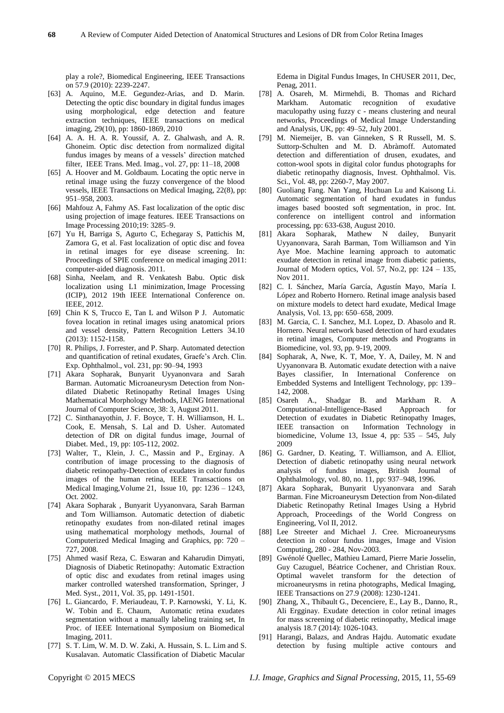play a role?, Biomedical Engineering, IEEE Transactions on 57.9 (2010): 2239-2247.

- [63] A. Aquino, M.E. Gegundez-Arias, and D. Marin. Detecting the optic disc boundary in digital fundus images using morphological, edge detection and feature extraction techniques, IEEE transactions on medical imaging, 29(10), pp: 1860-1869, 2010
- [64] A. A. H. A. R. Youssif, A. Z. Ghalwash, and A. R. Ghoneim. Optic disc detection from normalized digital fundus images by means of a vessels' direction matched filter, IEEE Trans. Med. Imag., vol. 27, pp: 11–18, 2008
- [65] A. Hoover and M. Goldbaum. Locating the optic nerve in retinal image using the fuzzy convergence of the blood vessels, IEEE Transactions on Medical Imaging, 22(8), pp: 951–958, 2003.
- [66] Mahfouz A, Fahmy AS. Fast localization of the optic disc using projection of image features. IEEE Transactions on Image Processing 2010;19: 3285–9.
- [67] Yu H, Barriga S, Agurto C, Echegaray S, Pattichis M, Zamora G, et al. Fast localization of optic disc and fovea in retinal images for eye disease screening. In: Proceedings of SPIE conference on medical imaging 2011: computer-aided diagnosis. 2011.
- [68] Sinha, Neelam, and R. Venkatesh Babu. Optic disk localization using L1 minimization, Image Processing (ICIP), 2012 19th IEEE International Conference on. IEEE, 2012.
- [69] Chin K S, Trucco E, Tan L and Wilson P J. Automatic fovea location in retinal images using anatomical priors and vessel density, Pattern Recognition Letters 34.10 (2013): 1152-1158.
- [70] R. Philips, J. Forrester, and P. Sharp. Automated detection and quantification of retinal exudates, Graefe's Arch. Clin. Exp. Ophthalmol., vol. 231, pp: 90–94, 1993
- [71] Akara Sopharak, Bunyarit Uyyanonvara and Sarah Barman. Automatic Microaneurysm Detection from Nondilated Diabetic Retinopathy Retinal Images Using Mathematical Morphology Methods, IAENG International Journal of Computer Science, 38: 3, August 2011.
- [72] C. Sinthanayothin, J. F. Boyce, T. H. Williamson, H. L. Cook, E. Mensah, S. Lal and D. Usher. Automated detection of DR on digital fundus image, Journal of Diabet. Med., 19, pp: 105-112, 2002.
- [73] Walter, T., Klein, J. C., Massin and P., Erginay. A contribution of image processing to the diagnosis of diabetic retinopathy-Detection of exudates in color fundus images of the human retina, IEEE Transactions on Medical Imaging,Volume 21, Issue 10, pp: 1236 – 1243, Oct. 2002.
- [74] Akara Sopharak , Bunyarit Uyyanonvara, Sarah Barman and Tom Williamson. Automatic detection of diabetic retinopathy exudates from non-dilated retinal images using mathematical morphology methods, Journal of Computerized Medical Imaging and Graphics, pp: 720 – 727, 2008.
- [75] Ahmed wasif Reza, C. Eswaran and Kaharudin Dimyati, Diagnosis of Diabetic Retinopathy: Automatic Extraction of optic disc and exudates from retinal images using marker controlled watershed transformation, Springer, J Med. Syst., 2011, Vol. 35, pp. 1491-1501.
- [76] L. Giancardo, F. Meriaudeau, T. P. Karnowski, Y. Li, K. W. Tobin and E. Chaum, Automatic retina exudates segmentation without a manually labeling training set, In Proc. of IEEE International Symposium on Biomedical Imaging, 2011.
- [77] S. T. Lim, W. M. D. W. Zaki, A. Hussain, S. L. Lim and S. Kusalavan. Automatic Classification of Diabetic Macular

Edema in Digital Fundus Images, In CHUSER 2011, Dec, Penag, 2011.

- [78] A. Osareh, M. Mirmehdi, B. Thomas and Richard Markham. Automatic recognition of exudative maculopathy using fuzzy c - means clustering and neural networks, Proceedings of Medical Image Understanding and Analysis, UK, pp: 49–52, July 2001.
- [79] M. Niemeijer, B. van Ginneken, S R Russell, M. S. Suttorp-Schulten and M. D. Abràmoff. Automated detection and differentiation of drusen, exudates, and cotton-wool spots in digital color fundus photographs for diabetic retinopathy diagnosis, Invest. Ophthalmol. Vis. Sci., Vol. 48, pp: 2260-7, May 2007.
- [80] Guoliang Fang. Nan Yang, Huchuan Lu and Kaisong Li. Automatic segmentation of hard exudates in fundus images based boosted soft segmentation, in proc. Int. conference on intelligent control and information processing, pp: 633-638, August 2010.
- [81] Akara Sopharak, Mathew N dailey, Bunyarit Uyyanonvara, Sarah Barman, Tom Williamson and Yin Aye Moe. Machine learning approach to automatic exudate detection in retinal image from diabetic patients, Journal of Modern optics, Vol. 57, No.2, pp: 124 – 135, Nov 2011.
- [82] C. I. Sánchez, María García, Agustín Mayo, María I. López and Roberto Hornero. Retinal image analysis based on mixture models to detect hard exudate, Medical Image Analysis, Vol. 13, pp: 650–658, 2009.
- [83] M. Garcia, C. I. Sanchez, M.I. Lopez, D. Abasolo and R. Hornero. Neural network based detection of hard exudates in retinal images, Computer methods and Programs in Biomedicine, vol. 93, pp. 9-19, 2009.
- [84] Sopharak, A, Nwe, K. T, Moe, Y. A, Dailey, M. N and Uyyanonvara B. Automatic exudate detection with a naive Bayes classifier, In International Conference on Embedded Systems and Intelligent Technology, pp: 139– 142, 2008.
- [85] Osareh A., Shadgar B. and Markham R. A Computational-Intelligence-Based Approach for Detection of exudates in Diabetic Retinopathy Images, IEEE transaction on Information Technology in biomedicine, Volume 13, Issue 4, pp: 535 – 545, July 2009
- [86] G. Gardner, D. Keating, T. Williamson, and A. Elliot, Detection of diabetic retinopathy using neural network analysis of fundus images, British Journal of Ophthalmology, vol. 80, no. 11, pp: 937–948, 1996.
- [87] Akara Sopharak, Bunyarit Uyyanonvara and Sarah Barman. Fine Microaneurysm Detection from Non-dilated Diabetic Retinopathy Retinal Images Using a Hybrid Approach, Proceedings of the World Congress on Engineering, Vol II, 2012.
- [88] Lee Streeter and Michael J. Cree. Microaneurysms detection in colour fundus images, Image and Vision Computing, 280 - 284, Nov-2003.
- [89] Gwénolé Quellec, Mathieu Lamard, Pierre Marie Josselin, Guy Cazuguel*,* Béatrice Cochener, and Christian Roux. Optimal wavelet transform for the detection of microaneurysms in retina photographs, Medical Imaging, IEEE Transactions on 27.9 (2008): 1230-1241.
- [90] Zhang, X., Thibault G., Decenciere, E., Lay B., Danno, R., Ali Ergginay. Exudate detection in color retinal images for mass screening of diabetic retinopathy, Medical image analysis 18.7 (2014): 1026-1043.
- [91] Harangi, Balazs, and Andras Hajdu. Automatic exudate detection by fusing multiple active contours and